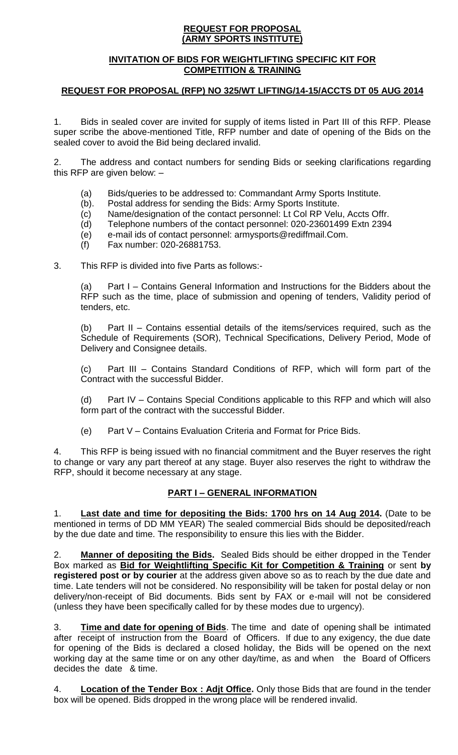#### **REQUEST FOR PROPOSAL (ARMY SPORTS INSTITUTE)**

#### **INVITATION OF BIDS FOR WEIGHTLIFTING SPECIFIC KIT FOR COMPETITION & TRAINING**

## **REQUEST FOR PROPOSAL (RFP) NO 325/WT LIFTING/14-15/ACCTS DT 05 AUG 2014**

1. Bids in sealed cover are invited for supply of items listed in Part III of this RFP. Please super scribe the above-mentioned Title, RFP number and date of opening of the Bids on the sealed cover to avoid the Bid being declared invalid.

2. The address and contact numbers for sending Bids or seeking clarifications regarding this RFP are given below: –

- (a) Bids/queries to be addressed to: Commandant Army Sports Institute.
- (b). Postal address for sending the Bids: Army Sports Institute.
- (c) Name/designation of the contact personnel: Lt Col RP Velu, Accts Offr.
- (d) Telephone numbers of the contact personnel: 020-23601499 Extn 2394
- (e) e-mail ids of contact personnel: armysports@rediffmail.Com.
- (f) Fax number: 020-26881753.

3. This RFP is divided into five Parts as follows:-

(a) Part I – Contains General Information and Instructions for the Bidders about the RFP such as the time, place of submission and opening of tenders, Validity period of tenders, etc.

(b) Part II – Contains essential details of the items/services required, such as the Schedule of Requirements (SOR), Technical Specifications, Delivery Period, Mode of Delivery and Consignee details.

(c) Part III – Contains Standard Conditions of RFP, which will form part of the Contract with the successful Bidder.

(d) Part IV – Contains Special Conditions applicable to this RFP and which will also form part of the contract with the successful Bidder.

(e) Part V – Contains Evaluation Criteria and Format for Price Bids.

4. This RFP is being issued with no financial commitment and the Buyer reserves the right to change or vary any part thereof at any stage. Buyer also reserves the right to withdraw the RFP, should it become necessary at any stage.

## **PART I – GENERAL INFORMATION**

1. **Last date and time for depositing the Bids: 1700 hrs on 14 Aug 2014.** (Date to be mentioned in terms of DD MM YEAR) The sealed commercial Bids should be deposited/reach by the due date and time. The responsibility to ensure this lies with the Bidder.

2. **Manner of depositing the Bids.** Sealed Bids should be either dropped in the Tender Box marked as **Bid for Weightlifting Specific Kit for Competition & Training** or sent **by registered post or by courier** at the address given above so as to reach by the due date and time. Late tenders will not be considered. No responsibility will be taken for postal delay or non delivery/non-receipt of Bid documents. Bids sent by FAX or e-mail will not be considered (unless they have been specifically called for by these modes due to urgency).

3. **Time and date for opening of Bids**. The time and date of opening shall be intimated after receipt of instruction from the Board of Officers. If due to any exigency, the due date for opening of the Bids is declared a closed holiday, the Bids will be opened on the next working day at the same time or on any other day/time, as and when the Board of Officers decides the date & time.

4. **Location of the Tender Box : Adjt Office.** Only those Bids that are found in the tender box will be opened. Bids dropped in the wrong place will be rendered invalid.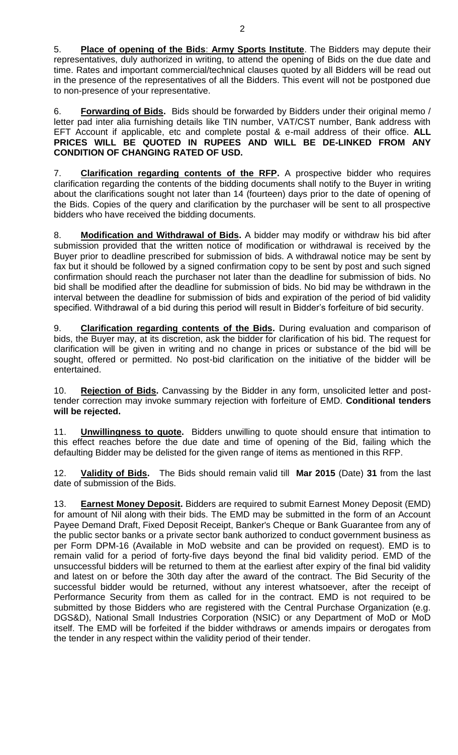5. **Place of opening of the Bids**: **Army Sports Institute**. The Bidders may depute their representatives, duly authorized in writing, to attend the opening of Bids on the due date and time. Rates and important commercial/technical clauses quoted by all Bidders will be read out in the presence of the representatives of all the Bidders. This event will not be postponed due to non-presence of your representative.

6. **Forwarding of Bids.** Bids should be forwarded by Bidders under their original memo / letter pad inter alia furnishing details like TIN number, VAT/CST number, Bank address with EFT Account if applicable, etc and complete postal & e-mail address of their office. **ALL PRICES WILL BE QUOTED IN RUPEES AND WILL BE DE-LINKED FROM ANY CONDITION OF CHANGING RATED OF USD.**

7. **Clarification regarding contents of the RFP.** A prospective bidder who requires clarification regarding the contents of the bidding documents shall notify to the Buyer in writing about the clarifications sought not later than 14 (fourteen) days prior to the date of opening of the Bids. Copies of the query and clarification by the purchaser will be sent to all prospective bidders who have received the bidding documents.

8. **Modification and Withdrawal of Bids.** A bidder may modify or withdraw his bid after submission provided that the written notice of modification or withdrawal is received by the Buyer prior to deadline prescribed for submission of bids. A withdrawal notice may be sent by fax but it should be followed by a signed confirmation copy to be sent by post and such signed confirmation should reach the purchaser not later than the deadline for submission of bids. No bid shall be modified after the deadline for submission of bids. No bid may be withdrawn in the interval between the deadline for submission of bids and expiration of the period of bid validity specified. Withdrawal of a bid during this period will result in Bidder's forfeiture of bid security.

9. **Clarification regarding contents of the Bids.** During evaluation and comparison of bids, the Buyer may, at its discretion, ask the bidder for clarification of his bid. The request for clarification will be given in writing and no change in prices or substance of the bid will be sought, offered or permitted. No post-bid clarification on the initiative of the bidder will be entertained.

10. **Rejection of Bids.** Canvassing by the Bidder in any form, unsolicited letter and posttender correction may invoke summary rejection with forfeiture of EMD. **Conditional tenders will be rejected.**

11. **Unwillingness to quote.** Bidders unwilling to quote should ensure that intimation to this effect reaches before the due date and time of opening of the Bid, failing which the defaulting Bidder may be delisted for the given range of items as mentioned in this RFP.

12. **Validity of Bids.** The Bids should remain valid till **Mar 2015** (Date) **31** from the last date of submission of the Bids.

13. **Earnest Money Deposit.** Bidders are required to submit Earnest Money Deposit (EMD) for amount of Nil along with their bids. The EMD may be submitted in the form of an Account Payee Demand Draft, Fixed Deposit Receipt, Banker's Cheque or Bank Guarantee from any of the public sector banks or a private sector bank authorized to conduct government business as per Form DPM-16 (Available in MoD website and can be provided on request). EMD is to remain valid for a period of forty-five days beyond the final bid validity period. EMD of the unsuccessful bidders will be returned to them at the earliest after expiry of the final bid validity and latest on or before the 30th day after the award of the contract. The Bid Security of the successful bidder would be returned, without any interest whatsoever, after the receipt of Performance Security from them as called for in the contract. EMD is not required to be submitted by those Bidders who are registered with the Central Purchase Organization (e.g. DGS&D), National Small Industries Corporation (NSIC) or any Department of MoD or MoD itself. The EMD will be forfeited if the bidder withdraws or amends impairs or derogates from the tender in any respect within the validity period of their tender.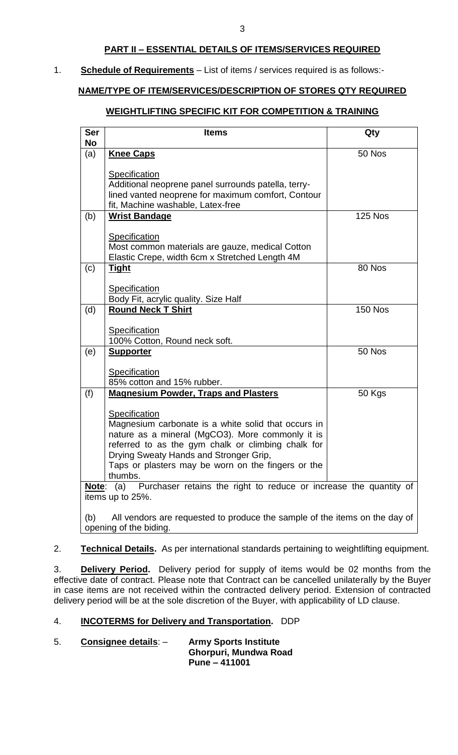## **PART II – ESSENTIAL DETAILS OF ITEMS/SERVICES REQUIRED**

#### 1. **Schedule of Requirements** – List of items / services required is as follows:-

## **NAME/TYPE OF ITEM/SERVICES/DESCRIPTION OF STORES QTY REQUIRED**

### **WEIGHTLIFTING SPECIFIC KIT FOR COMPETITION & TRAINING**

| <b>Ser</b><br>No                                                                                             | <b>Items</b>                                                                                           | Qty            |  |  |
|--------------------------------------------------------------------------------------------------------------|--------------------------------------------------------------------------------------------------------|----------------|--|--|
| (a)                                                                                                          | <b>Knee Caps</b>                                                                                       | 50 Nos         |  |  |
|                                                                                                              | Specification                                                                                          |                |  |  |
|                                                                                                              | Additional neoprene panel surrounds patella, terry-                                                    |                |  |  |
|                                                                                                              | lined vanted neoprene for maximum comfort, Contour<br>fit, Machine washable, Latex-free                |                |  |  |
| (b)                                                                                                          | <b>Wrist Bandage</b>                                                                                   | <b>125 Nos</b> |  |  |
|                                                                                                              |                                                                                                        |                |  |  |
|                                                                                                              | Specification<br>Most common materials are gauze, medical Cotton                                       |                |  |  |
|                                                                                                              | Elastic Crepe, width 6cm x Stretched Length 4M                                                         |                |  |  |
| (c)                                                                                                          | <u>Tight</u>                                                                                           | 80 Nos         |  |  |
|                                                                                                              | Specification                                                                                          |                |  |  |
|                                                                                                              | Body Fit, acrylic quality. Size Half                                                                   |                |  |  |
| (d)                                                                                                          | <b>Round Neck T Shirt</b>                                                                              | <b>150 Nos</b> |  |  |
|                                                                                                              | <b>Specification</b>                                                                                   |                |  |  |
|                                                                                                              | 100% Cotton, Round neck soft.                                                                          |                |  |  |
| (e)                                                                                                          | <b>Supporter</b>                                                                                       | 50 Nos         |  |  |
|                                                                                                              | <b>Specification</b>                                                                                   |                |  |  |
|                                                                                                              | 85% cotton and 15% rubber.                                                                             |                |  |  |
| (f)                                                                                                          | <b>Magnesium Powder, Traps and Plasters</b>                                                            | 50 Kgs         |  |  |
|                                                                                                              | Specification                                                                                          |                |  |  |
|                                                                                                              | Magnesium carbonate is a white solid that occurs in                                                    |                |  |  |
|                                                                                                              | nature as a mineral (MgCO3). More commonly it is<br>referred to as the gym chalk or climbing chalk for |                |  |  |
|                                                                                                              | Drying Sweaty Hands and Stronger Grip,                                                                 |                |  |  |
|                                                                                                              | Taps or plasters may be worn on the fingers or the                                                     |                |  |  |
|                                                                                                              | thumbs.                                                                                                |                |  |  |
| Purchaser retains the right to reduce or increase the quantity of<br>(a)<br><u>Note:</u><br>items up to 25%. |                                                                                                        |                |  |  |
| All vendors are requested to produce the sample of the items on the day of<br>(b)                            |                                                                                                        |                |  |  |
| opening of the biding.                                                                                       |                                                                                                        |                |  |  |

2. **Technical Details.** As per international standards pertaining to weightlifting equipment.

3. **Delivery Period.** Delivery period for supply of items would be 02 months from the effective date of contract. Please note that Contract can be cancelled unilaterally by the Buyer in case items are not received within the contracted delivery period. Extension of contracted delivery period will be at the sole discretion of the Buyer, with applicability of LD clause.

# 4. **INCOTERMS for Delivery and Transportation.** DDP

5. **Consignee details**: – **Army Sports Institute Ghorpuri, Mundwa Road Pune – 411001**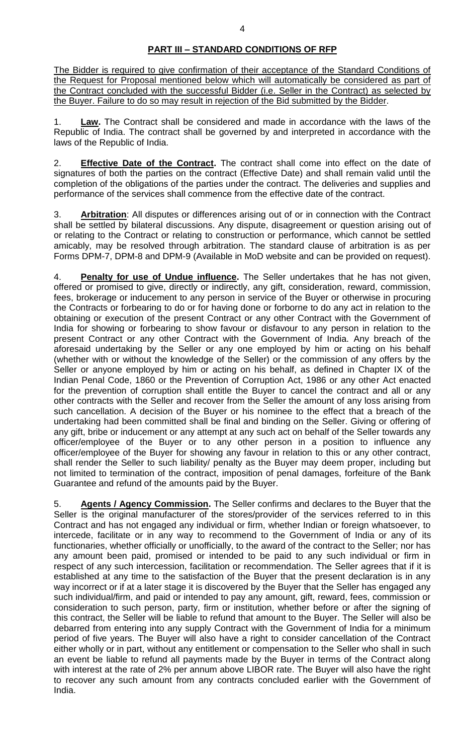## **PART III – STANDARD CONDITIONS OF RFP**

The Bidder is required to give confirmation of their acceptance of the Standard Conditions of the Request for Proposal mentioned below which will automatically be considered as part of the Contract concluded with the successful Bidder (i.e. Seller in the Contract) as selected by the Buyer. Failure to do so may result in rejection of the Bid submitted by the Bidder.

1. **Law.** The Contract shall be considered and made in accordance with the laws of the Republic of India. The contract shall be governed by and interpreted in accordance with the laws of the Republic of India.

2. **Effective Date of the Contract.** The contract shall come into effect on the date of signatures of both the parties on the contract (Effective Date) and shall remain valid until the completion of the obligations of the parties under the contract. The deliveries and supplies and performance of the services shall commence from the effective date of the contract.

3. **Arbitration**: All disputes or differences arising out of or in connection with the Contract shall be settled by bilateral discussions. Any dispute, disagreement or question arising out of or relating to the Contract or relating to construction or performance, which cannot be settled amicably, may be resolved through arbitration. The standard clause of arbitration is as per Forms DPM-7, DPM-8 and DPM-9 (Available in MoD website and can be provided on request).

4. **Penalty for use of Undue influence.** The Seller undertakes that he has not given, offered or promised to give, directly or indirectly, any gift, consideration, reward, commission, fees, brokerage or inducement to any person in service of the Buyer or otherwise in procuring the Contracts or forbearing to do or for having done or forborne to do any act in relation to the obtaining or execution of the present Contract or any other Contract with the Government of India for showing or forbearing to show favour or disfavour to any person in relation to the present Contract or any other Contract with the Government of India. Any breach of the aforesaid undertaking by the Seller or any one employed by him or acting on his behalf (whether with or without the knowledge of the Seller) or the commission of any offers by the Seller or anyone employed by him or acting on his behalf, as defined in Chapter IX of the Indian Penal Code, 1860 or the Prevention of Corruption Act, 1986 or any other Act enacted for the prevention of corruption shall entitle the Buyer to cancel the contract and all or any other contracts with the Seller and recover from the Seller the amount of any loss arising from such cancellation. A decision of the Buyer or his nominee to the effect that a breach of the undertaking had been committed shall be final and binding on the Seller. Giving or offering of any gift, bribe or inducement or any attempt at any such act on behalf of the Seller towards any officer/employee of the Buyer or to any other person in a position to influence any officer/employee of the Buyer for showing any favour in relation to this or any other contract, shall render the Seller to such liability/ penalty as the Buyer may deem proper, including but not limited to termination of the contract, imposition of penal damages, forfeiture of the Bank Guarantee and refund of the amounts paid by the Buyer.

5. **Agents / Agency Commission.** The Seller confirms and declares to the Buyer that the Seller is the original manufacturer of the stores/provider of the services referred to in this Contract and has not engaged any individual or firm, whether Indian or foreign whatsoever, to intercede, facilitate or in any way to recommend to the Government of India or any of its functionaries, whether officially or unofficially, to the award of the contract to the Seller; nor has any amount been paid, promised or intended to be paid to any such individual or firm in respect of any such intercession, facilitation or recommendation. The Seller agrees that if it is established at any time to the satisfaction of the Buyer that the present declaration is in any way incorrect or if at a later stage it is discovered by the Buyer that the Seller has engaged any such individual/firm, and paid or intended to pay any amount, gift, reward, fees, commission or consideration to such person, party, firm or institution, whether before or after the signing of this contract, the Seller will be liable to refund that amount to the Buyer. The Seller will also be debarred from entering into any supply Contract with the Government of India for a minimum period of five years. The Buyer will also have a right to consider cancellation of the Contract either wholly or in part, without any entitlement or compensation to the Seller who shall in such an event be liable to refund all payments made by the Buyer in terms of the Contract along with interest at the rate of 2% per annum above LIBOR rate. The Buyer will also have the right to recover any such amount from any contracts concluded earlier with the Government of India.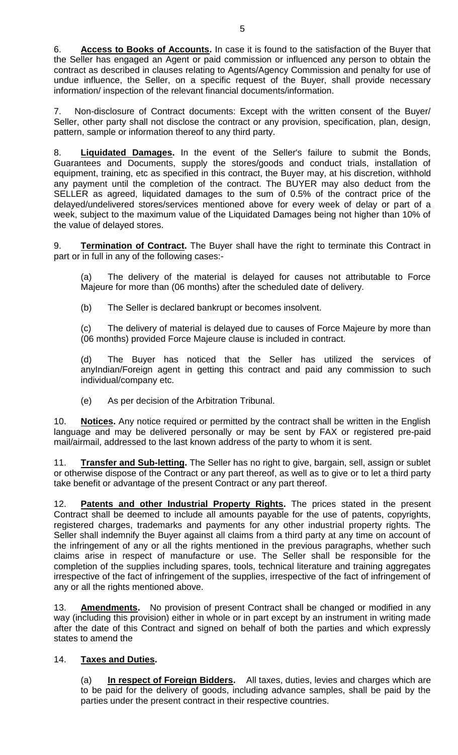6. **Access to Books of Accounts.** In case it is found to the satisfaction of the Buyer that the Seller has engaged an Agent or paid commission or influenced any person to obtain the contract as described in clauses relating to Agents/Agency Commission and penalty for use of undue influence, the Seller, on a specific request of the Buyer, shall provide necessary information/ inspection of the relevant financial documents/information.

7. Non-disclosure of Contract documents: Except with the written consent of the Buyer/ Seller, other party shall not disclose the contract or any provision, specification, plan, design, pattern, sample or information thereof to any third party.

8. **Liquidated Damages.** In the event of the Seller's failure to submit the Bonds, Guarantees and Documents, supply the stores/goods and conduct trials, installation of equipment, training, etc as specified in this contract, the Buyer may, at his discretion, withhold any payment until the completion of the contract. The BUYER may also deduct from the SELLER as agreed, liquidated damages to the sum of 0.5% of the contract price of the delayed/undelivered stores/services mentioned above for every week of delay or part of a week, subject to the maximum value of the Liquidated Damages being not higher than 10% of the value of delayed stores.

9. **Termination of Contract.** The Buyer shall have the right to terminate this Contract in part or in full in any of the following cases:-

(a) The delivery of the material is delayed for causes not attributable to Force Majeure for more than (06 months) after the scheduled date of delivery.

(b) The Seller is declared bankrupt or becomes insolvent.

(c) The delivery of material is delayed due to causes of Force Majeure by more than (06 months) provided Force Majeure clause is included in contract.

(d) The Buyer has noticed that the Seller has utilized the services of anyIndian/Foreign agent in getting this contract and paid any commission to such individual/company etc.

(e) As per decision of the Arbitration Tribunal.

10. **Notices.** Any notice required or permitted by the contract shall be written in the English language and may be delivered personally or may be sent by FAX or registered pre-paid mail/airmail, addressed to the last known address of the party to whom it is sent.

11. **Transfer and Sub-letting.** The Seller has no right to give, bargain, sell, assign or sublet or otherwise dispose of the Contract or any part thereof, as well as to give or to let a third party take benefit or advantage of the present Contract or any part thereof.

12. **Patents and other Industrial Property Rights.** The prices stated in the present Contract shall be deemed to include all amounts payable for the use of patents, copyrights, registered charges, trademarks and payments for any other industrial property rights. The Seller shall indemnify the Buyer against all claims from a third party at any time on account of the infringement of any or all the rights mentioned in the previous paragraphs, whether such claims arise in respect of manufacture or use. The Seller shall be responsible for the completion of the supplies including spares, tools, technical literature and training aggregates irrespective of the fact of infringement of the supplies, irrespective of the fact of infringement of any or all the rights mentioned above.

13. **Amendments.** No provision of present Contract shall be changed or modified in any way (including this provision) either in whole or in part except by an instrument in writing made after the date of this Contract and signed on behalf of both the parties and which expressly states to amend the

### 14. **Taxes and Duties.**

(a) **In respect of Foreign Bidders.** All taxes, duties, levies and charges which are to be paid for the delivery of goods, including advance samples, shall be paid by the parties under the present contract in their respective countries.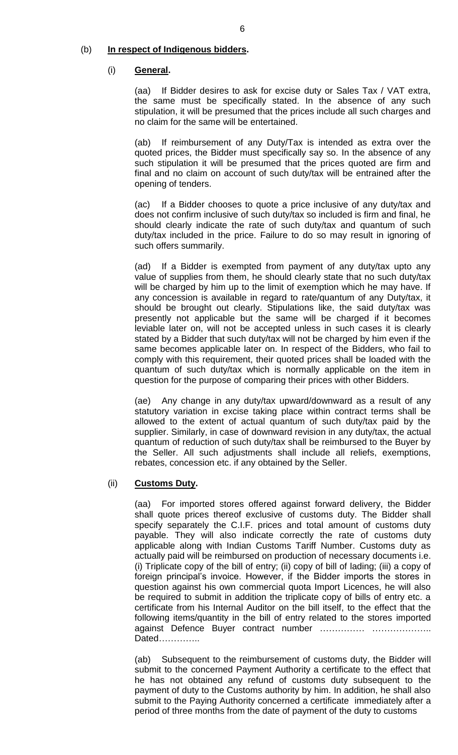#### (b) **In respect of Indigenous bidders.**

#### (i) **General.**

(aa) If Bidder desires to ask for excise duty or Sales Tax / VAT extra, the same must be specifically stated. In the absence of any such stipulation, it will be presumed that the prices include all such charges and no claim for the same will be entertained.

(ab) If reimbursement of any Duty/Tax is intended as extra over the quoted prices, the Bidder must specifically say so. In the absence of any such stipulation it will be presumed that the prices quoted are firm and final and no claim on account of such duty/tax will be entrained after the opening of tenders.

(ac) If a Bidder chooses to quote a price inclusive of any duty/tax and does not confirm inclusive of such duty/tax so included is firm and final, he should clearly indicate the rate of such duty/tax and quantum of such duty/tax included in the price. Failure to do so may result in ignoring of such offers summarily.

(ad) If a Bidder is exempted from payment of any duty/tax upto any value of supplies from them, he should clearly state that no such duty/tax will be charged by him up to the limit of exemption which he may have. If any concession is available in regard to rate/quantum of any Duty/tax, it should be brought out clearly. Stipulations like, the said duty/tax was presently not applicable but the same will be charged if it becomes leviable later on, will not be accepted unless in such cases it is clearly stated by a Bidder that such duty/tax will not be charged by him even if the same becomes applicable later on. In respect of the Bidders, who fail to comply with this requirement, their quoted prices shall be loaded with the quantum of such duty/tax which is normally applicable on the item in question for the purpose of comparing their prices with other Bidders.

(ae) Any change in any duty/tax upward/downward as a result of any statutory variation in excise taking place within contract terms shall be allowed to the extent of actual quantum of such duty/tax paid by the supplier. Similarly, in case of downward revision in any duty/tax, the actual quantum of reduction of such duty/tax shall be reimbursed to the Buyer by the Seller. All such adjustments shall include all reliefs, exemptions, rebates, concession etc. if any obtained by the Seller.

### (ii) **Customs Duty.**

(aa) For imported stores offered against forward delivery, the Bidder shall quote prices thereof exclusive of customs duty. The Bidder shall specify separately the C.I.F. prices and total amount of customs duty payable. They will also indicate correctly the rate of customs duty applicable along with Indian Customs Tariff Number. Customs duty as actually paid will be reimbursed on production of necessary documents i.e. (i) Triplicate copy of the bill of entry; (ii) copy of bill of lading; (iii) a copy of foreign principal's invoice. However, if the Bidder imports the stores in question against his own commercial quota Import Licences, he will also be required to submit in addition the triplicate copy of bills of entry etc. a certificate from his Internal Auditor on the bill itself, to the effect that the following items/quantity in the bill of entry related to the stores imported against Defence Buyer contract number …………… ……………….. Dated…………..

(ab) Subsequent to the reimbursement of customs duty, the Bidder will submit to the concerned Payment Authority a certificate to the effect that he has not obtained any refund of customs duty subsequent to the payment of duty to the Customs authority by him. In addition, he shall also submit to the Paying Authority concerned a certificate immediately after a period of three months from the date of payment of the duty to customs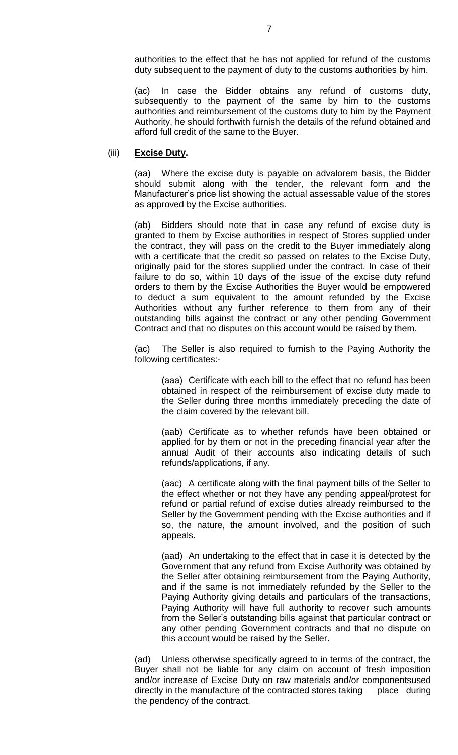authorities to the effect that he has not applied for refund of the customs duty subsequent to the payment of duty to the customs authorities by him.

(ac) In case the Bidder obtains any refund of customs duty, subsequently to the payment of the same by him to the customs authorities and reimbursement of the customs duty to him by the Payment Authority, he should forthwith furnish the details of the refund obtained and afford full credit of the same to the Buyer.

#### (iii) **Excise Duty.**

(aa) Where the excise duty is payable on advalorem basis, the Bidder should submit along with the tender, the relevant form and the Manufacturer's price list showing the actual assessable value of the stores as approved by the Excise authorities.

(ab) Bidders should note that in case any refund of excise duty is granted to them by Excise authorities in respect of Stores supplied under the contract, they will pass on the credit to the Buyer immediately along with a certificate that the credit so passed on relates to the Excise Duty, originally paid for the stores supplied under the contract. In case of their failure to do so, within 10 days of the issue of the excise duty refund orders to them by the Excise Authorities the Buyer would be empowered to deduct a sum equivalent to the amount refunded by the Excise Authorities without any further reference to them from any of their outstanding bills against the contract or any other pending Government Contract and that no disputes on this account would be raised by them.

(ac) The Seller is also required to furnish to the Paying Authority the following certificates:-

(aaa) Certificate with each bill to the effect that no refund has been obtained in respect of the reimbursement of excise duty made to the Seller during three months immediately preceding the date of the claim covered by the relevant bill.

(aab) Certificate as to whether refunds have been obtained or applied for by them or not in the preceding financial year after the annual Audit of their accounts also indicating details of such refunds/applications, if any.

(aac) A certificate along with the final payment bills of the Seller to the effect whether or not they have any pending appeal/protest for refund or partial refund of excise duties already reimbursed to the Seller by the Government pending with the Excise authorities and if so, the nature, the amount involved, and the position of such appeals.

(aad) An undertaking to the effect that in case it is detected by the Government that any refund from Excise Authority was obtained by the Seller after obtaining reimbursement from the Paying Authority, and if the same is not immediately refunded by the Seller to the Paying Authority giving details and particulars of the transactions, Paying Authority will have full authority to recover such amounts from the Seller's outstanding bills against that particular contract or any other pending Government contracts and that no dispute on this account would be raised by the Seller.

(ad) Unless otherwise specifically agreed to in terms of the contract, the Buyer shall not be liable for any claim on account of fresh imposition and/or increase of Excise Duty on raw materials and/or componentsused directly in the manufacture of the contracted stores taking place during the pendency of the contract.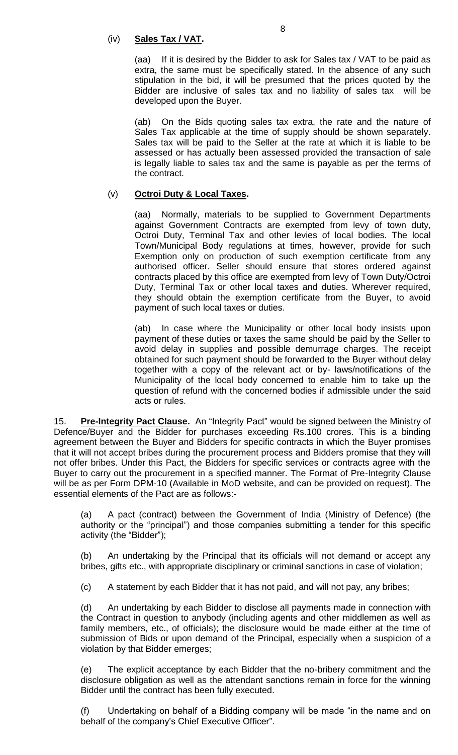## (iv) **Sales Tax / VAT.**

(aa) If it is desired by the Bidder to ask for Sales tax / VAT to be paid as extra, the same must be specifically stated. In the absence of any such stipulation in the bid, it will be presumed that the prices quoted by the Bidder are inclusive of sales tax and no liability of sales tax will be developed upon the Buyer.

(ab) On the Bids quoting sales tax extra, the rate and the nature of Sales Tax applicable at the time of supply should be shown separately. Sales tax will be paid to the Seller at the rate at which it is liable to be assessed or has actually been assessed provided the transaction of sale is legally liable to sales tax and the same is payable as per the terms of the contract.

## (v) **Octroi Duty & Local Taxes.**

(aa) Normally, materials to be supplied to Government Departments against Government Contracts are exempted from levy of town duty, Octroi Duty, Terminal Tax and other levies of local bodies. The local Town/Municipal Body regulations at times, however, provide for such Exemption only on production of such exemption certificate from any authorised officer. Seller should ensure that stores ordered against contracts placed by this office are exempted from levy of Town Duty/Octroi Duty, Terminal Tax or other local taxes and duties. Wherever required, they should obtain the exemption certificate from the Buyer, to avoid payment of such local taxes or duties.

(ab) In case where the Municipality or other local body insists upon payment of these duties or taxes the same should be paid by the Seller to avoid delay in supplies and possible demurrage charges. The receipt obtained for such payment should be forwarded to the Buyer without delay together with a copy of the relevant act or by- laws/notifications of the Municipality of the local body concerned to enable him to take up the question of refund with the concerned bodies if admissible under the said acts or rules.

15. **Pre-Integrity Pact Clause.** An "Integrity Pact" would be signed between the Ministry of Defence/Buyer and the Bidder for purchases exceeding Rs.100 crores. This is a binding agreement between the Buyer and Bidders for specific contracts in which the Buyer promises that it will not accept bribes during the procurement process and Bidders promise that they will not offer bribes. Under this Pact, the Bidders for specific services or contracts agree with the Buyer to carry out the procurement in a specified manner. The Format of Pre-Integrity Clause will be as per Form DPM-10 (Available in MoD website, and can be provided on request). The essential elements of the Pact are as follows:-

(a) A pact (contract) between the Government of India (Ministry of Defence) (the authority or the "principal") and those companies submitting a tender for this specific activity (the "Bidder");

(b) An undertaking by the Principal that its officials will not demand or accept any bribes, gifts etc., with appropriate disciplinary or criminal sanctions in case of violation;

(c) A statement by each Bidder that it has not paid, and will not pay, any bribes;

(d) An undertaking by each Bidder to disclose all payments made in connection with the Contract in question to anybody (including agents and other middlemen as well as family members, etc., of officials); the disclosure would be made either at the time of submission of Bids or upon demand of the Principal, especially when a suspicion of a violation by that Bidder emerges;

(e) The explicit acceptance by each Bidder that the no-bribery commitment and the disclosure obligation as well as the attendant sanctions remain in force for the winning Bidder until the contract has been fully executed.

(f) Undertaking on behalf of a Bidding company will be made "in the name and on behalf of the company's Chief Executive Officer".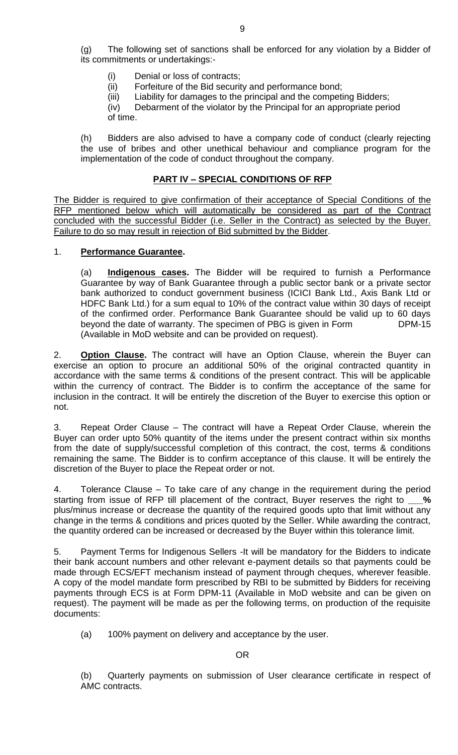(g) The following set of sanctions shall be enforced for any violation by a Bidder of its commitments or undertakings:-

- (i) Denial or loss of contracts;
- (ii) Forfeiture of the Bid security and performance bond;
- (iii) Liability for damages to the principal and the competing Bidders;

 (iv) Debarment of the violator by the Principal for an appropriate period of time.

(h) Bidders are also advised to have a company code of conduct (clearly rejecting the use of bribes and other unethical behaviour and compliance program for the implementation of the code of conduct throughout the company.

### **PART IV – SPECIAL CONDITIONS OF RFP**

The Bidder is required to give confirmation of their acceptance of Special Conditions of the RFP mentioned below which will automatically be considered as part of the Contract concluded with the successful Bidder (i.e. Seller in the Contract) as selected by the Buyer. Failure to do so may result in rejection of Bid submitted by the Bidder.

#### 1. **Performance Guarantee.**

(a) **Indigenous cases.** The Bidder will be required to furnish a Performance Guarantee by way of Bank Guarantee through a public sector bank or a private sector bank authorized to conduct government business (ICICI Bank Ltd., Axis Bank Ltd or HDFC Bank Ltd.) for a sum equal to 10% of the contract value within 30 days of receipt of the confirmed order. Performance Bank Guarantee should be valid up to 60 days beyond the date of warranty. The specimen of PBG is given in Form DPM-15 (Available in MoD website and can be provided on request).

2. **Option Clause.** The contract will have an Option Clause, wherein the Buyer can exercise an option to procure an additional 50% of the original contracted quantity in accordance with the same terms & conditions of the present contract. This will be applicable within the currency of contract. The Bidder is to confirm the acceptance of the same for inclusion in the contract. It will be entirely the discretion of the Buyer to exercise this option or not.

3. Repeat Order Clause – The contract will have a Repeat Order Clause, wherein the Buyer can order upto 50% quantity of the items under the present contract within six months from the date of supply/successful completion of this contract, the cost, terms & conditions remaining the same. The Bidder is to confirm acceptance of this clause. It will be entirely the discretion of the Buyer to place the Repeat order or not.

4. Tolerance Clause – To take care of any change in the requirement during the period starting from issue of RFP till placement of the contract, Buyer reserves the right to **\_\_\_%**  plus/minus increase or decrease the quantity of the required goods upto that limit without any change in the terms & conditions and prices quoted by the Seller. While awarding the contract, the quantity ordered can be increased or decreased by the Buyer within this tolerance limit.

5. Payment Terms for Indigenous Sellers -It will be mandatory for the Bidders to indicate their bank account numbers and other relevant e-payment details so that payments could be made through ECS/EFT mechanism instead of payment through cheques, wherever feasible. A copy of the model mandate form prescribed by RBI to be submitted by Bidders for receiving payments through ECS is at Form DPM-11 (Available in MoD website and can be given on request). The payment will be made as per the following terms, on production of the requisite documents:

(a) 100% payment on delivery and acceptance by the user.

OR

(b) Quarterly payments on submission of User clearance certificate in respect of AMC contracts.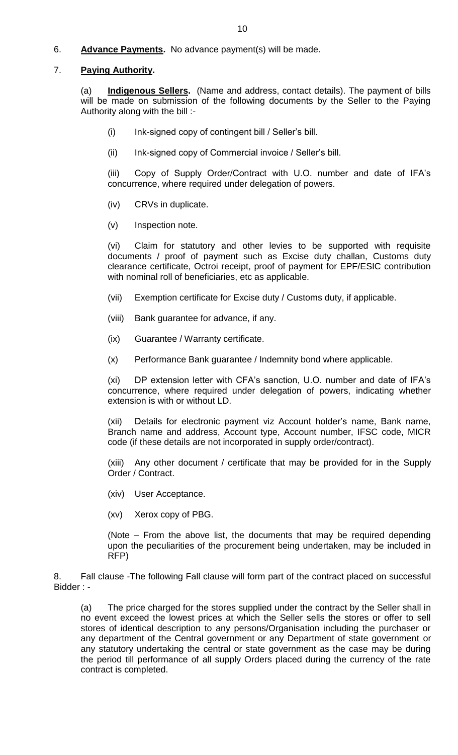6. **Advance Payments.** No advance payment(s) will be made.

### 7. **Paying Authority.**

(a) **Indigenous Sellers.** (Name and address, contact details). The payment of bills will be made on submission of the following documents by the Seller to the Paying Authority along with the bill :-

- (i) Ink-signed copy of contingent bill / Seller's bill.
- (ii) Ink-signed copy of Commercial invoice / Seller's bill.

(iii) Copy of Supply Order/Contract with U.O. number and date of IFA's concurrence, where required under delegation of powers.

- (iv) CRVs in duplicate.
- (v) Inspection note.

(vi) Claim for statutory and other levies to be supported with requisite documents / proof of payment such as Excise duty challan, Customs duty clearance certificate, Octroi receipt, proof of payment for EPF/ESIC contribution with nominal roll of beneficiaries, etc as applicable.

- (vii) Exemption certificate for Excise duty / Customs duty, if applicable.
- (viii) Bank guarantee for advance, if any.
- (ix) Guarantee / Warranty certificate.
- (x) Performance Bank guarantee / Indemnity bond where applicable.

(xi) DP extension letter with CFA's sanction, U.O. number and date of IFA's concurrence, where required under delegation of powers, indicating whether extension is with or without LD.

(xii) Details for electronic payment viz Account holder's name, Bank name, Branch name and address, Account type, Account number, IFSC code, MICR code (if these details are not incorporated in supply order/contract).

(xiii) Any other document / certificate that may be provided for in the Supply Order / Contract.

- (xiv) User Acceptance.
- (xv) Xerox copy of PBG.

(Note – From the above list, the documents that may be required depending upon the peculiarities of the procurement being undertaken, may be included in RFP)

8. Fall clause -The following Fall clause will form part of the contract placed on successful Bidder : -

(a) The price charged for the stores supplied under the contract by the Seller shall in no event exceed the lowest prices at which the Seller sells the stores or offer to sell stores of identical description to any persons/Organisation including the purchaser or any department of the Central government or any Department of state government or any statutory undertaking the central or state government as the case may be during the period till performance of all supply Orders placed during the currency of the rate contract is completed.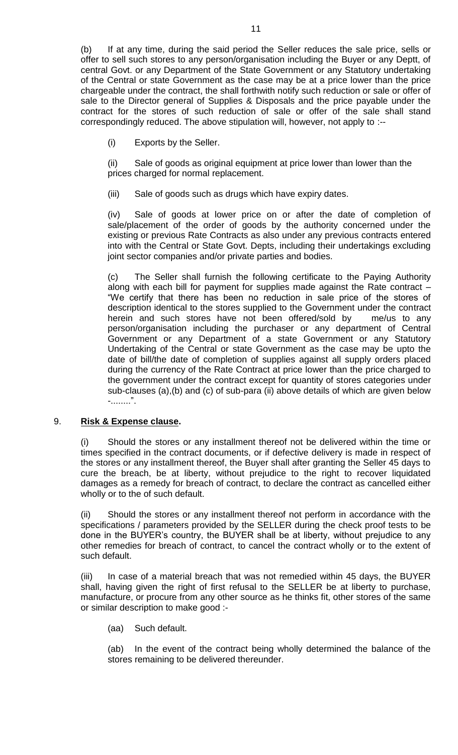(b) If at any time, during the said period the Seller reduces the sale price, sells or offer to sell such stores to any person/organisation including the Buyer or any Deptt, of central Govt. or any Department of the State Government or any Statutory undertaking of the Central or state Government as the case may be at a price lower than the price chargeable under the contract, the shall forthwith notify such reduction or sale or offer of sale to the Director general of Supplies & Disposals and the price payable under the contract for the stores of such reduction of sale or offer of the sale shall stand correspondingly reduced. The above stipulation will, however, not apply to :--

(i) Exports by the Seller.

(ii) Sale of goods as original equipment at price lower than lower than the prices charged for normal replacement.

(iii) Sale of goods such as drugs which have expiry dates.

(iv) Sale of goods at lower price on or after the date of completion of sale/placement of the order of goods by the authority concerned under the existing or previous Rate Contracts as also under any previous contracts entered into with the Central or State Govt. Depts, including their undertakings excluding joint sector companies and/or private parties and bodies.

(c) The Seller shall furnish the following certificate to the Paying Authority along with each bill for payment for supplies made against the Rate contract – "We certify that there has been no reduction in sale price of the stores of description identical to the stores supplied to the Government under the contract herein and such stores have not been offered/sold by me/us to any person/organisation including the purchaser or any department of Central Government or any Department of a state Government or any Statutory Undertaking of the Central or state Government as the case may be upto the date of bill/the date of completion of supplies against all supply orders placed during the currency of the Rate Contract at price lower than the price charged to the government under the contract except for quantity of stores categories under sub-clauses (a),(b) and (c) of sub-para (ii) above details of which are given below -........".

### 9. **Risk & Expense clause.**

(i) Should the stores or any installment thereof not be delivered within the time or times specified in the contract documents, or if defective delivery is made in respect of the stores or any installment thereof, the Buyer shall after granting the Seller 45 days to cure the breach, be at liberty, without prejudice to the right to recover liquidated damages as a remedy for breach of contract, to declare the contract as cancelled either wholly or to the of such default.

(ii) Should the stores or any installment thereof not perform in accordance with the specifications / parameters provided by the SELLER during the check proof tests to be done in the BUYER's country, the BUYER shall be at liberty, without prejudice to any other remedies for breach of contract, to cancel the contract wholly or to the extent of such default.

(iii) In case of a material breach that was not remedied within 45 days, the BUYER shall, having given the right of first refusal to the SELLER be at liberty to purchase, manufacture, or procure from any other source as he thinks fit, other stores of the same or similar description to make good :-

(aa) Such default.

(ab) In the event of the contract being wholly determined the balance of the stores remaining to be delivered thereunder.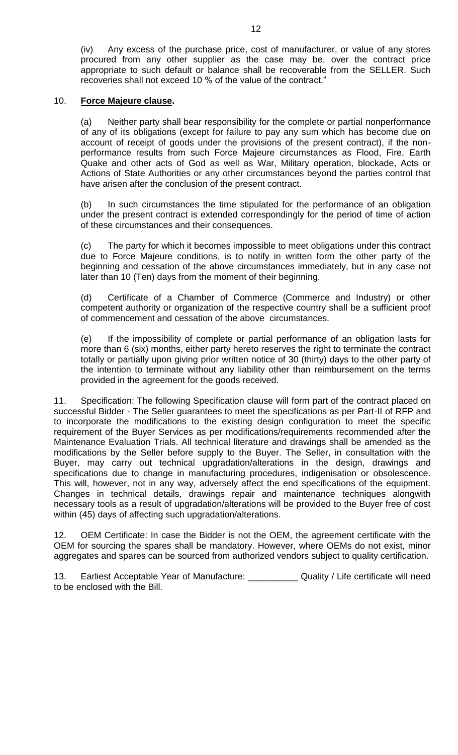(iv) Any excess of the purchase price, cost of manufacturer, or value of any stores procured from any other supplier as the case may be, over the contract price appropriate to such default or balance shall be recoverable from the SELLER. Such recoveries shall not exceed 10 % of the value of the contract."

#### 10. **Force Majeure clause.**

(a) Neither party shall bear responsibility for the complete or partial nonperformance of any of its obligations (except for failure to pay any sum which has become due on account of receipt of goods under the provisions of the present contract), if the nonperformance results from such Force Majeure circumstances as Flood, Fire, Earth Quake and other acts of God as well as War, Military operation, blockade, Acts or Actions of State Authorities or any other circumstances beyond the parties control that have arisen after the conclusion of the present contract.

(b) In such circumstances the time stipulated for the performance of an obligation under the present contract is extended correspondingly for the period of time of action of these circumstances and their consequences.

(c) The party for which it becomes impossible to meet obligations under this contract due to Force Majeure conditions, is to notify in written form the other party of the beginning and cessation of the above circumstances immediately, but in any case not later than 10 (Ten) days from the moment of their beginning.

(d) Certificate of a Chamber of Commerce (Commerce and Industry) or other competent authority or organization of the respective country shall be a sufficient proof of commencement and cessation of the above circumstances.

(e) If the impossibility of complete or partial performance of an obligation lasts for more than 6 (six) months, either party hereto reserves the right to terminate the contract totally or partially upon giving prior written notice of 30 (thirty) days to the other party of the intention to terminate without any liability other than reimbursement on the terms provided in the agreement for the goods received.

11. Specification: The following Specification clause will form part of the contract placed on successful Bidder - The Seller guarantees to meet the specifications as per Part-II of RFP and to incorporate the modifications to the existing design configuration to meet the specific requirement of the Buyer Services as per modifications/requirements recommended after the Maintenance Evaluation Trials. All technical literature and drawings shall be amended as the modifications by the Seller before supply to the Buyer. The Seller, in consultation with the Buyer, may carry out technical upgradation/alterations in the design, drawings and specifications due to change in manufacturing procedures, indigenisation or obsolescence. This will, however, not in any way, adversely affect the end specifications of the equipment. Changes in technical details, drawings repair and maintenance techniques alongwith necessary tools as a result of upgradation/alterations will be provided to the Buyer free of cost within (45) days of affecting such upgradation/alterations.

12. OEM Certificate: In case the Bidder is not the OEM, the agreement certificate with the OEM for sourcing the spares shall be mandatory. However, where OEMs do not exist, minor aggregates and spares can be sourced from authorized vendors subject to quality certification.

13. Earliest Acceptable Year of Manufacture: \_\_\_\_\_\_\_\_\_\_ Quality / Life certificate will need to be enclosed with the Bill.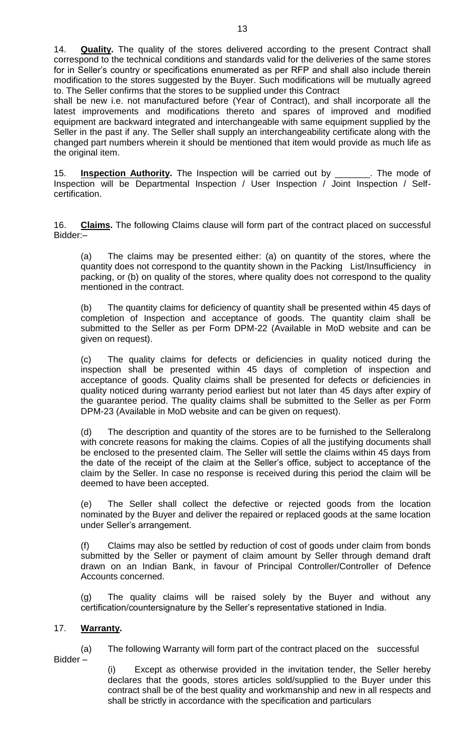14. **Quality.** The quality of the stores delivered according to the present Contract shall correspond to the technical conditions and standards valid for the deliveries of the same stores for in Seller's country or specifications enumerated as per RFP and shall also include therein modification to the stores suggested by the Buyer. Such modifications will be mutually agreed to. The Seller confirms that the stores to be supplied under this Contract

shall be new i.e. not manufactured before (Year of Contract), and shall incorporate all the latest improvements and modifications thereto and spares of improved and modified equipment are backward integrated and interchangeable with same equipment supplied by the Seller in the past if any. The Seller shall supply an interchangeability certificate along with the changed part numbers wherein it should be mentioned that item would provide as much life as the original item.

15. **Inspection Authority.** The Inspection will be carried out by \_\_\_\_\_\_\_. The mode of Inspection will be Departmental Inspection / User Inspection / Joint Inspection / Selfcertification.

16. **Claims.** The following Claims clause will form part of the contract placed on successful Bidder:–

(a) The claims may be presented either: (a) on quantity of the stores, where the quantity does not correspond to the quantity shown in the Packing List/Insufficiency in packing, or (b) on quality of the stores, where quality does not correspond to the quality mentioned in the contract.

(b) The quantity claims for deficiency of quantity shall be presented within 45 days of completion of Inspection and acceptance of goods. The quantity claim shall be submitted to the Seller as per Form DPM-22 (Available in MoD website and can be given on request).

(c) The quality claims for defects or deficiencies in quality noticed during the inspection shall be presented within 45 days of completion of inspection and acceptance of goods. Quality claims shall be presented for defects or deficiencies in quality noticed during warranty period earliest but not later than 45 days after expiry of the guarantee period. The quality claims shall be submitted to the Seller as per Form DPM-23 (Available in MoD website and can be given on request).

(d) The description and quantity of the stores are to be furnished to the Selleralong with concrete reasons for making the claims. Copies of all the justifying documents shall be enclosed to the presented claim. The Seller will settle the claims within 45 days from the date of the receipt of the claim at the Seller's office, subject to acceptance of the claim by the Seller. In case no response is received during this period the claim will be deemed to have been accepted.

(e) The Seller shall collect the defective or rejected goods from the location nominated by the Buyer and deliver the repaired or replaced goods at the same location under Seller's arrangement.

(f) Claims may also be settled by reduction of cost of goods under claim from bonds submitted by the Seller or payment of claim amount by Seller through demand draft drawn on an Indian Bank, in favour of Principal Controller/Controller of Defence Accounts concerned.

(g) The quality claims will be raised solely by the Buyer and without any certification/countersignature by the Seller's representative stationed in India.

### 17. **Warranty.**

(a) The following Warranty will form part of the contract placed on the successful Bidder –

(i) Except as otherwise provided in the invitation tender, the Seller hereby declares that the goods, stores articles sold/supplied to the Buyer under this contract shall be of the best quality and workmanship and new in all respects and shall be strictly in accordance with the specification and particulars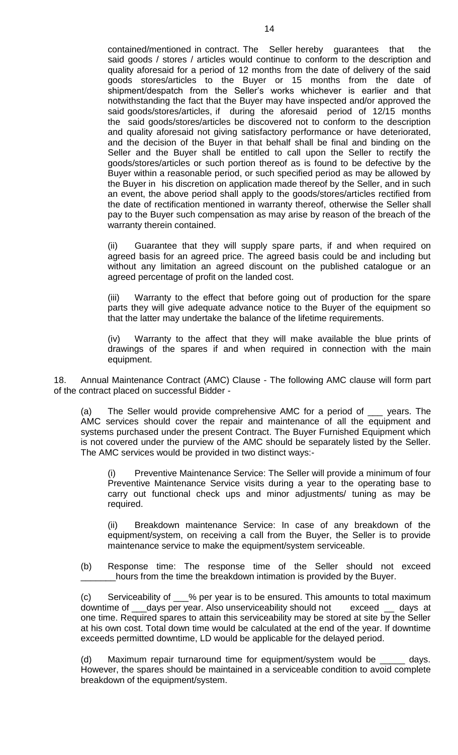contained/mentioned in contract. The Seller hereby guarantees that the said goods / stores / articles would continue to conform to the description and quality aforesaid for a period of 12 months from the date of delivery of the said goods stores/articles to the Buyer or 15 months from the date of shipment/despatch from the Seller's works whichever is earlier and that notwithstanding the fact that the Buyer may have inspected and/or approved the said goods/stores/articles, if during the aforesaid period of 12/15 months the said goods/stores/articles be discovered not to conform to the description and quality aforesaid not giving satisfactory performance or have deteriorated, and the decision of the Buyer in that behalf shall be final and binding on the Seller and the Buyer shall be entitled to call upon the Seller to rectify the goods/stores/articles or such portion thereof as is found to be defective by the Buyer within a reasonable period, or such specified period as may be allowed by the Buyer in his discretion on application made thereof by the Seller, and in such an event, the above period shall apply to the goods/stores/articles rectified from the date of rectification mentioned in warranty thereof, otherwise the Seller shall pay to the Buyer such compensation as may arise by reason of the breach of the warranty therein contained.

(ii) Guarantee that they will supply spare parts, if and when required on agreed basis for an agreed price. The agreed basis could be and including but without any limitation an agreed discount on the published catalogue or an agreed percentage of profit on the landed cost.

(iii) Warranty to the effect that before going out of production for the spare parts they will give adequate advance notice to the Buyer of the equipment so that the latter may undertake the balance of the lifetime requirements.

(iv) Warranty to the affect that they will make available the blue prints of drawings of the spares if and when required in connection with the main equipment.

18. Annual Maintenance Contract (AMC) Clause - The following AMC clause will form part of the contract placed on successful Bidder -

(a) The Seller would provide comprehensive AMC for a period of \_\_\_ years. The AMC services should cover the repair and maintenance of all the equipment and systems purchased under the present Contract. The Buyer Furnished Equipment which is not covered under the purview of the AMC should be separately listed by the Seller. The AMC services would be provided in two distinct ways:-

Preventive Maintenance Service: The Seller will provide a minimum of four Preventive Maintenance Service visits during a year to the operating base to carry out functional check ups and minor adjustments/ tuning as may be required.

(ii) Breakdown maintenance Service: In case of any breakdown of the equipment/system, on receiving a call from the Buyer, the Seller is to provide maintenance service to make the equipment/system serviceable.

(b) Response time: The response time of the Seller should not exceed hours from the time the breakdown intimation is provided by the Buyer.

(c) Serviceability of \_\_\_% per year is to be ensured. This amounts to total maximum downtime of \_\_\_days per year. Also unserviceability should not exceed \_\_ days at one time. Required spares to attain this serviceability may be stored at site by the Seller at his own cost. Total down time would be calculated at the end of the year. If downtime exceeds permitted downtime, LD would be applicable for the delayed period.

(d) Maximum repair turnaround time for equipment/system would be \_\_\_\_\_ days. However, the spares should be maintained in a serviceable condition to avoid complete breakdown of the equipment/system.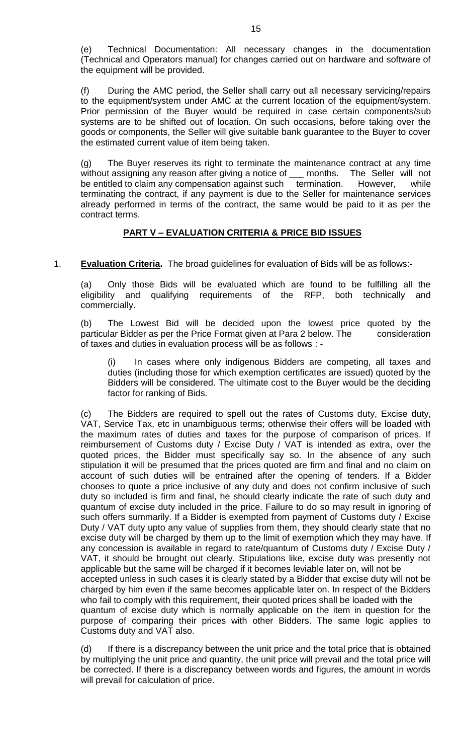(e) Technical Documentation: All necessary changes in the documentation (Technical and Operators manual) for changes carried out on hardware and software of the equipment will be provided.

(f) During the AMC period, the Seller shall carry out all necessary servicing/repairs to the equipment/system under AMC at the current location of the equipment/system. Prior permission of the Buyer would be required in case certain components/sub systems are to be shifted out of location. On such occasions, before taking over the goods or components, the Seller will give suitable bank guarantee to the Buyer to cover the estimated current value of item being taken.

(g) The Buyer reserves its right to terminate the maintenance contract at any time without assigning any reason after giving a notice of comporths. The Seller will not be entitled to claim any compensation against such termination. However, while terminating the contract, if any payment is due to the Seller for maintenance services already performed in terms of the contract, the same would be paid to it as per the contract terms.

## **PART V – EVALUATION CRITERIA & PRICE BID ISSUES**

1. **Evaluation Criteria.** The broad guidelines for evaluation of Bids will be as follows:-

(a) Only those Bids will be evaluated which are found to be fulfilling all the eligibility and qualifying requirements of the RFP, both technically and commercially.

(b) The Lowest Bid will be decided upon the lowest price quoted by the particular Bidder as per the Price Format given at Para 2 below. The consideration of taxes and duties in evaluation process will be as follows : -

In cases where only indigenous Bidders are competing, all taxes and duties (including those for which exemption certificates are issued) quoted by the Bidders will be considered. The ultimate cost to the Buyer would be the deciding factor for ranking of Bids.

(c) The Bidders are required to spell out the rates of Customs duty, Excise duty, VAT, Service Tax, etc in unambiguous terms; otherwise their offers will be loaded with the maximum rates of duties and taxes for the purpose of comparison of prices. If reimbursement of Customs duty / Excise Duty / VAT is intended as extra, over the quoted prices, the Bidder must specifically say so. In the absence of any such stipulation it will be presumed that the prices quoted are firm and final and no claim on account of such duties will be entrained after the opening of tenders. If a Bidder chooses to quote a price inclusive of any duty and does not confirm inclusive of such duty so included is firm and final, he should clearly indicate the rate of such duty and quantum of excise duty included in the price. Failure to do so may result in ignoring of such offers summarily. If a Bidder is exempted from payment of Customs duty / Excise Duty / VAT duty upto any value of supplies from them, they should clearly state that no excise duty will be charged by them up to the limit of exemption which they may have. If any concession is available in regard to rate/quantum of Customs duty / Excise Duty / VAT, it should be brought out clearly. Stipulations like, excise duty was presently not applicable but the same will be charged if it becomes leviable later on, will not be accepted unless in such cases it is clearly stated by a Bidder that excise duty will not be charged by him even if the same becomes applicable later on. In respect of the Bidders who fail to comply with this requirement, their quoted prices shall be loaded with the quantum of excise duty which is normally applicable on the item in question for the purpose of comparing their prices with other Bidders. The same logic applies to Customs duty and VAT also.

(d) If there is a discrepancy between the unit price and the total price that is obtained by multiplying the unit price and quantity, the unit price will prevail and the total price will be corrected. If there is a discrepancy between words and figures, the amount in words will prevail for calculation of price.